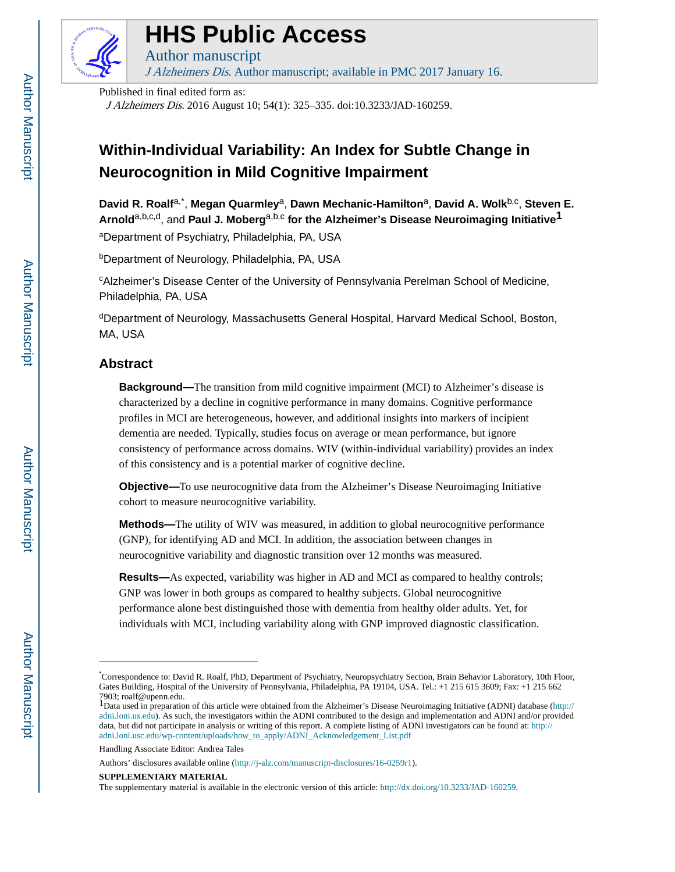

# **HHS Public Access**

Author manuscript J Alzheimers Dis. Author manuscript; available in PMC 2017 January 16.

Published in final edited form as:

J Alzheimers Dis. 2016 August 10; 54(1): 325–335. doi:10.3233/JAD-160259.

## **Within-Individual Variability: An Index for Subtle Change in Neurocognition in Mild Cognitive Impairment**

David R. Roalf<sup>a,\*</sup>, Megan Quarmley<sup>a</sup>, Dawn Mechanic-Hamilton<sup>a</sup>, David A. Wolk<sup>b,c</sup>, Steven E. **Arnold**a,b,c,d, and **Paul J. Moberg**a,b,c **for the Alzheimer's Disease Neuroimaging Initiative1**

aDepartment of Psychiatry, Philadelphia, PA, USA

<sup>b</sup>Department of Neurology, Philadelphia, PA, USA

<sup>c</sup>Alzheimer's Disease Center of the University of Pennsylvania Perelman School of Medicine, Philadelphia, PA, USA

<sup>d</sup>Department of Neurology, Massachusetts General Hospital, Harvard Medical School, Boston, MA, USA

## **Abstract**

**Background—**The transition from mild cognitive impairment (MCI) to Alzheimer's disease is characterized by a decline in cognitive performance in many domains. Cognitive performance profiles in MCI are heterogeneous, however, and additional insights into markers of incipient dementia are needed. Typically, studies focus on average or mean performance, but ignore consistency of performance across domains. WIV (within-individual variability) provides an index of this consistency and is a potential marker of cognitive decline.

**Objective—**To use neurocognitive data from the Alzheimer's Disease Neuroimaging Initiative cohort to measure neurocognitive variability.

**Methods—**The utility of WIV was measured, in addition to global neurocognitive performance (GNP), for identifying AD and MCI. In addition, the association between changes in neurocognitive variability and diagnostic transition over 12 months was measured.

**Results—**As expected, variability was higher in AD and MCI as compared to healthy controls; GNP was lower in both groups as compared to healthy subjects. Global neurocognitive performance alone best distinguished those with dementia from healthy older adults. Yet, for individuals with MCI, including variability along with GNP improved diagnostic classification.

#### **SUPPLEMENTARY MATERIAL**

<sup>\*</sup>Correspondence to: David R. Roalf, PhD, Department of Psychiatry, Neuropsychiatry Section, Brain Behavior Laboratory, 10th Floor, Gates Building, Hospital of the University of Pennsylvania, Philadelphia, PA 19104, USA. Tel.: +1 215 615 3609; Fax: +1 215 662 7903; roalf@upenn.edu.

<sup>1</sup>Data used in preparation of this article were obtained from the Alzheimer's Disease Neuroimaging Initiative (ADNI) database ([http://](http://adni.loni.us.edu) [adni.loni.us.edu\)](http://adni.loni.us.edu). As such, the investigators within the ADNI contributed to the design and implementation and ADNI and/or provided data, but did not participate in analysis or writing of this report. A complete listing of ADNI investigators can be found at: [http://](http://adni.loni.usc.edu/wp-content/uploads/how_to_apply/ADNI_Acknowledgement_List.pdf) [adni.loni.usc.edu/wp-content/uploads/how\\_to\\_apply/ADNI\\_Acknowledgement\\_List.pdf](http://adni.loni.usc.edu/wp-content/uploads/how_to_apply/ADNI_Acknowledgement_List.pdf)

Handling Associate Editor: Andrea Tales

Authors' disclosures available online [\(http://j-alz.com/manuscript-disclosures/16-0259r1\)](http://j-alz.com/manuscript-disclosures/16-0259r1).

The supplementary material is available in the electronic version of this article:<http://dx.doi.org/10.3233/JAD-160259>.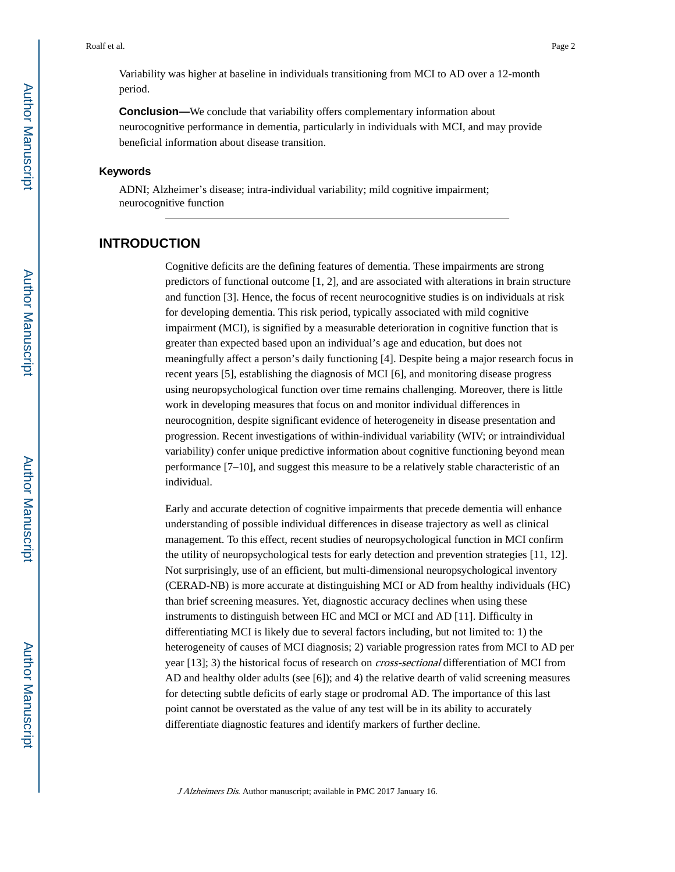Variability was higher at baseline in individuals transitioning from MCI to AD over a 12-month period.

**Conclusion—**We conclude that variability offers complementary information about neurocognitive performance in dementia, particularly in individuals with MCI, and may provide beneficial information about disease transition.

#### **Keywords**

ADNI; Alzheimer's disease; intra-individual variability; mild cognitive impairment; neurocognitive function

## **INTRODUCTION**

Cognitive deficits are the defining features of dementia. These impairments are strong predictors of functional outcome [1, 2], and are associated with alterations in brain structure and function [3]. Hence, the focus of recent neurocognitive studies is on individuals at risk for developing dementia. This risk period, typically associated with mild cognitive impairment (MCI), is signified by a measurable deterioration in cognitive function that is greater than expected based upon an individual's age and education, but does not meaningfully affect a person's daily functioning [4]. Despite being a major research focus in recent years [5], establishing the diagnosis of MCI [6], and monitoring disease progress using neuropsychological function over time remains challenging. Moreover, there is little work in developing measures that focus on and monitor individual differences in neurocognition, despite significant evidence of heterogeneity in disease presentation and progression. Recent investigations of within-individual variability (WIV; or intraindividual variability) confer unique predictive information about cognitive functioning beyond mean performance [7–10], and suggest this measure to be a relatively stable characteristic of an individual.

Early and accurate detection of cognitive impairments that precede dementia will enhance understanding of possible individual differences in disease trajectory as well as clinical management. To this effect, recent studies of neuropsychological function in MCI confirm the utility of neuropsychological tests for early detection and prevention strategies [11, 12]. Not surprisingly, use of an efficient, but multi-dimensional neuropsychological inventory (CERAD-NB) is more accurate at distinguishing MCI or AD from healthy individuals (HC) than brief screening measures. Yet, diagnostic accuracy declines when using these instruments to distinguish between HC and MCI or MCI and AD [11]. Difficulty in differentiating MCI is likely due to several factors including, but not limited to: 1) the heterogeneity of causes of MCI diagnosis; 2) variable progression rates from MCI to AD per year [13]; 3) the historical focus of research on cross-sectional differentiation of MCI from AD and healthy older adults (see [6]); and 4) the relative dearth of valid screening measures for detecting subtle deficits of early stage or prodromal AD. The importance of this last point cannot be overstated as the value of any test will be in its ability to accurately differentiate diagnostic features and identify markers of further decline.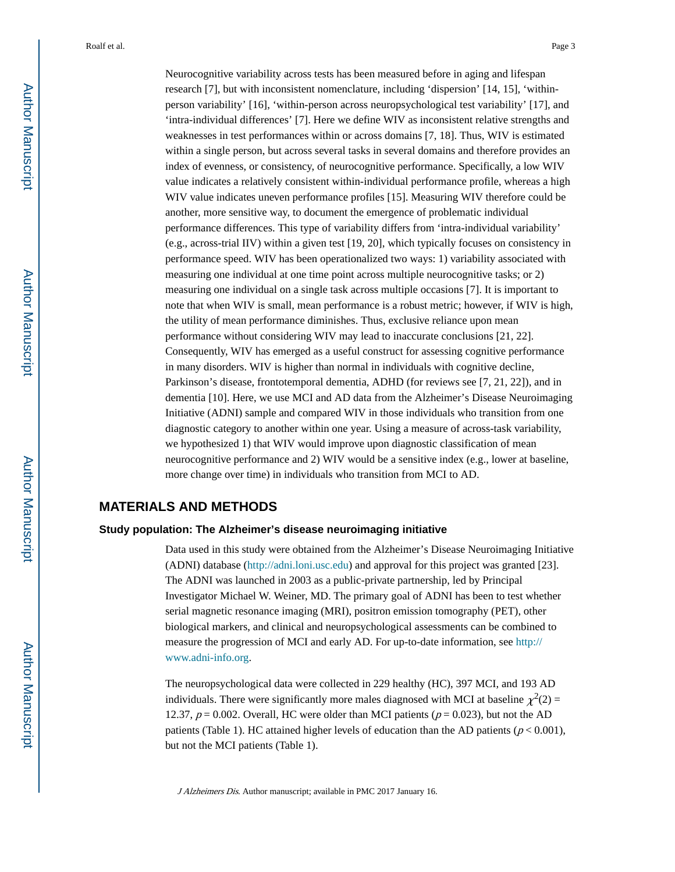Neurocognitive variability across tests has been measured before in aging and lifespan research [7], but with inconsistent nomenclature, including 'dispersion' [14, 15], 'withinperson variability' [16], 'within-person across neuropsychological test variability' [17], and 'intra-individual differences' [7]. Here we define WIV as inconsistent relative strengths and weaknesses in test performances within or across domains [7, 18]. Thus, WIV is estimated within a single person, but across several tasks in several domains and therefore provides an index of evenness, or consistency, of neurocognitive performance. Specifically, a low WIV value indicates a relatively consistent within-individual performance profile, whereas a high WIV value indicates uneven performance profiles [15]. Measuring WIV therefore could be another, more sensitive way, to document the emergence of problematic individual performance differences. This type of variability differs from 'intra-individual variability' (e.g., across-trial IIV) within a given test [19, 20], which typically focuses on consistency in performance speed. WIV has been operationalized two ways: 1) variability associated with measuring one individual at one time point across multiple neurocognitive tasks; or 2) measuring one individual on a single task across multiple occasions [7]. It is important to note that when WIV is small, mean performance is a robust metric; however, if WIV is high, the utility of mean performance diminishes. Thus, exclusive reliance upon mean performance without considering WIV may lead to inaccurate conclusions [21, 22]. Consequently, WIV has emerged as a useful construct for assessing cognitive performance in many disorders. WIV is higher than normal in individuals with cognitive decline, Parkinson's disease, frontotemporal dementia, ADHD (for reviews see [7, 21, 22]), and in dementia [10]. Here, we use MCI and AD data from the Alzheimer's Disease Neuroimaging Initiative (ADNI) sample and compared WIV in those individuals who transition from one diagnostic category to another within one year. Using a measure of across-task variability, we hypothesized 1) that WIV would improve upon diagnostic classification of mean neurocognitive performance and 2) WIV would be a sensitive index (e.g., lower at baseline, more change over time) in individuals who transition from MCI to AD.

## **MATERIALS AND METHODS**

#### **Study population: The Alzheimer's disease neuroimaging initiative**

Data used in this study were obtained from the Alzheimer's Disease Neuroimaging Initiative (ADNI) database [\(http://adni.loni.usc.edu](http://adni.loni.usc.edu)) and approval for this project was granted [23]. The ADNI was launched in 2003 as a public-private partnership, led by Principal Investigator Michael W. Weiner, MD. The primary goal of ADNI has been to test whether serial magnetic resonance imaging (MRI), positron emission tomography (PET), other biological markers, and clinical and neuropsychological assessments can be combined to measure the progression of MCI and early AD. For up-to-date information, see [http://](http://www.adni-info.org) [www.adni-info.org.](http://www.adni-info.org)

The neuropsychological data were collected in 229 healthy (HC), 397 MCI, and 193 AD individuals. There were significantly more males diagnosed with MCI at baseline  $\chi^2(2)$  = 12.37,  $p = 0.002$ . Overall, HC were older than MCI patients ( $p = 0.023$ ), but not the AD patients (Table 1). HC attained higher levels of education than the AD patients ( $p < 0.001$ ), but not the MCI patients (Table 1).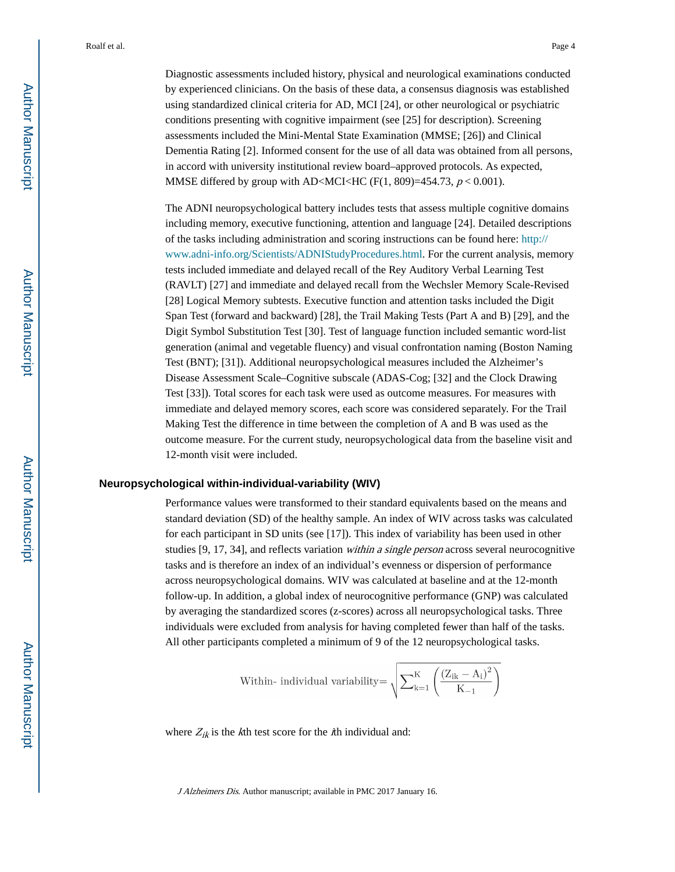Diagnostic assessments included history, physical and neurological examinations conducted by experienced clinicians. On the basis of these data, a consensus diagnosis was established using standardized clinical criteria for AD, MCI [24], or other neurological or psychiatric conditions presenting with cognitive impairment (see [25] for description). Screening assessments included the Mini-Mental State Examination (MMSE; [26]) and Clinical Dementia Rating [2]. Informed consent for the use of all data was obtained from all persons, in accord with university institutional review board–approved protocols. As expected, MMSE differed by group with AD<MCI<HC (F(1, 809)=454.73,  $p < 0.001$ ).

The ADNI neuropsychological battery includes tests that assess multiple cognitive domains including memory, executive functioning, attention and language [24]. Detailed descriptions of the tasks including administration and scoring instructions can be found here: [http://](http://www.adni-info.org/Scientists/ADNIStudyProcedures.html) [www.adni-info.org/Scientists/ADNIStudyProcedures.html](http://www.adni-info.org/Scientists/ADNIStudyProcedures.html). For the current analysis, memory tests included immediate and delayed recall of the Rey Auditory Verbal Learning Test (RAVLT) [27] and immediate and delayed recall from the Wechsler Memory Scale-Revised [28] Logical Memory subtests. Executive function and attention tasks included the Digit Span Test (forward and backward) [28], the Trail Making Tests (Part A and B) [29], and the Digit Symbol Substitution Test [30]. Test of language function included semantic word-list generation (animal and vegetable fluency) and visual confrontation naming (Boston Naming Test (BNT); [31]). Additional neuropsychological measures included the Alzheimer's Disease Assessment Scale–Cognitive subscale (ADAS-Cog; [32] and the Clock Drawing Test [33]). Total scores for each task were used as outcome measures. For measures with immediate and delayed memory scores, each score was considered separately. For the Trail Making Test the difference in time between the completion of A and B was used as the outcome measure. For the current study, neuropsychological data from the baseline visit and 12-month visit were included.

#### **Neuropsychological within-individual-variability (WIV)**

Performance values were transformed to their standard equivalents based on the means and standard deviation (SD) of the healthy sample. An index of WIV across tasks was calculated for each participant in SD units (see [17]). This index of variability has been used in other studies [9, 17, 34], and reflects variation within a single person across several neurocognitive tasks and is therefore an index of an individual's evenness or dispersion of performance across neuropsychological domains. WIV was calculated at baseline and at the 12-month follow-up. In addition, a global index of neurocognitive performance (GNP) was calculated by averaging the standardized scores (z-scores) across all neuropsychological tasks. Three individuals were excluded from analysis for having completed fewer than half of the tasks. All other participants completed a minimum of 9 of the 12 neuropsychological tasks.

Within- individual variability=
$$
\sqrt{\sum_{k=1}^{K} (\frac{(Z_{ik} - A_i)^2}{K_{-1}})}
$$

where  $Z_{ik}$  is the kth test score for the *i*th individual and: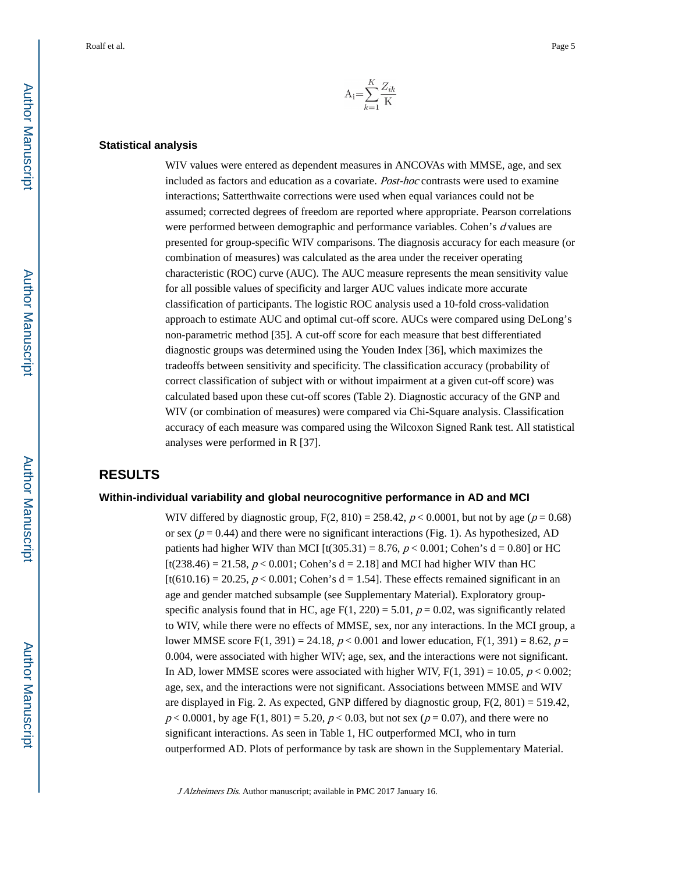$$
A_i = \sum_{k=1}^{K} \frac{Z_{ik}}{K}
$$

#### **Statistical analysis**

WIV values were entered as dependent measures in ANCOVAs with MMSE, age, and sex included as factors and education as a covariate. Post-hoc contrasts were used to examine interactions; Satterthwaite corrections were used when equal variances could not be assumed; corrected degrees of freedom are reported where appropriate. Pearson correlations were performed between demographic and performance variables. Cohen's d values are presented for group-specific WIV comparisons. The diagnosis accuracy for each measure (or combination of measures) was calculated as the area under the receiver operating characteristic (ROC) curve (AUC). The AUC measure represents the mean sensitivity value for all possible values of specificity and larger AUC values indicate more accurate classification of participants. The logistic ROC analysis used a 10-fold cross-validation approach to estimate AUC and optimal cut-off score. AUCs were compared using DeLong's non-parametric method [35]. A cut-off score for each measure that best differentiated diagnostic groups was determined using the Youden Index [36], which maximizes the tradeoffs between sensitivity and specificity. The classification accuracy (probability of correct classification of subject with or without impairment at a given cut-off score) was calculated based upon these cut-off scores (Table 2). Diagnostic accuracy of the GNP and WIV (or combination of measures) were compared via Chi-Square analysis. Classification accuracy of each measure was compared using the Wilcoxon Signed Rank test. All statistical analyses were performed in R [37].

## **RESULTS**

#### **Within-individual variability and global neurocognitive performance in AD and MCI**

WIV differed by diagnostic group,  $F(2, 810) = 258.42$ ,  $p < 0.0001$ , but not by age ( $p = 0.68$ ) or sex ( $p = 0.44$ ) and there were no significant interactions (Fig. 1). As hypothesized, AD patients had higher WIV than MCI  $[t(305.31) = 8.76, p < 0.001$ ; Cohen's d = 0.80] or HC [t(238.46) = 21.58,  $p < 0.001$ ; Cohen's d = 2.18] and MCI had higher WIV than HC  $[t(610.16) = 20.25, p < 0.001;$  Cohen's d = 1.54]. These effects remained significant in an age and gender matched subsample (see Supplementary Material). Exploratory groupspecific analysis found that in HC, age  $F(1, 220) = 5.01$ ,  $p = 0.02$ , was significantly related to WIV, while there were no effects of MMSE, sex, nor any interactions. In the MCI group, a lower MMSE score F(1, 391) = 24.18,  $p < 0.001$  and lower education, F(1, 391) = 8.62,  $p =$ 0.004, were associated with higher WIV; age, sex, and the interactions were not significant. In AD, lower MMSE scores were associated with higher WIV,  $F(1, 391) = 10.05$ ,  $p < 0.002$ ; age, sex, and the interactions were not significant. Associations between MMSE and WIV are displayed in Fig. 2. As expected, GNP differed by diagnostic group,  $F(2, 801) = 519.42$ ,  $p < 0.0001$ , by age F(1, 801) = 5.20,  $p < 0.03$ , but not sex ( $p = 0.07$ ), and there were no significant interactions. As seen in Table 1, HC outperformed MCI, who in turn outperformed AD. Plots of performance by task are shown in the Supplementary Material.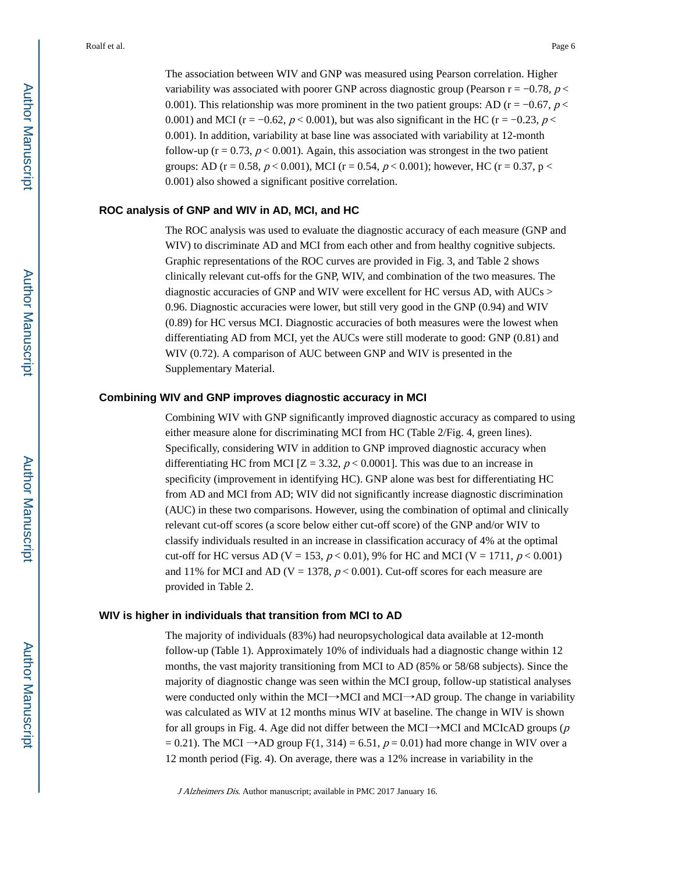The association between WIV and GNP was measured using Pearson correlation. Higher variability was associated with poorer GNP across diagnostic group (Pearson  $r = -0.78$ ,  $p <$ 0.001). This relationship was more prominent in the two patient groups: AD ( $r = -0.67$ ,  $p <$ 0.001) and MCI (r = -0.62,  $p < 0.001$ ), but was also significant in the HC (r = -0.23,  $p <$ 0.001). In addition, variability at base line was associated with variability at 12-month follow-up ( $r = 0.73$ ,  $p < 0.001$ ). Again, this association was strongest in the two patient groups: AD (r = 0.58,  $p < 0.001$ ), MCI (r = 0.54,  $p < 0.001$ ); however, HC (r = 0.37, p < 0.001) also showed a significant positive correlation.

#### **ROC analysis of GNP and WIV in AD, MCI, and HC**

The ROC analysis was used to evaluate the diagnostic accuracy of each measure (GNP and WIV) to discriminate AD and MCI from each other and from healthy cognitive subjects. Graphic representations of the ROC curves are provided in Fig. 3, and Table 2 shows clinically relevant cut-offs for the GNP, WIV, and combination of the two measures. The diagnostic accuracies of GNP and WIV were excellent for HC versus AD, with AUCs > 0.96. Diagnostic accuracies were lower, but still very good in the GNP (0.94) and WIV (0.89) for HC versus MCI. Diagnostic accuracies of both measures were the lowest when differentiating AD from MCI, yet the AUCs were still moderate to good: GNP (0.81) and WIV (0.72). A comparison of AUC between GNP and WIV is presented in the Supplementary Material.

#### **Combining WIV and GNP improves diagnostic accuracy in MCI**

Combining WIV with GNP significantly improved diagnostic accuracy as compared to using either measure alone for discriminating MCI from HC (Table 2/Fig. 4, green lines). Specifically, considering WIV in addition to GNP improved diagnostic accuracy when differentiating HC from MCI  $[Z = 3.32, p < 0.0001]$ . This was due to an increase in specificity (improvement in identifying HC). GNP alone was best for differentiating HC from AD and MCI from AD; WIV did not significantly increase diagnostic discrimination (AUC) in these two comparisons. However, using the combination of optimal and clinically relevant cut-off scores (a score below either cut-off score) of the GNP and/or WIV to classify individuals resulted in an increase in classification accuracy of 4% at the optimal cut-off for HC versus AD (V = 153,  $p < 0.01$ ), 9% for HC and MCI (V = 1711,  $p < 0.001$ ) and 11% for MCI and AD (V = 1378,  $p < 0.001$ ). Cut-off scores for each measure are provided in Table 2.

#### **WIV is higher in individuals that transition from MCI to AD**

The majority of individuals (83%) had neuropsychological data available at 12-month follow-up (Table 1). Approximately 10% of individuals had a diagnostic change within 12 months, the vast majority transitioning from MCI to AD (85% or 58/68 subjects). Since the majority of diagnostic change was seen within the MCI group, follow-up statistical analyses were conducted only within the MCI→MCI and MCI→AD group. The change in variability was calculated as WIV at 12 months minus WIV at baseline. The change in WIV is shown for all groups in Fig. 4. Age did not differ between the MCI→MCI and MCIcAD groups ( $p$  $= 0.21$ ). The MCI  $\rightarrow$ AD group F(1, 314) = 6.51,  $p = 0.01$ ) had more change in WIV over a 12 month period (Fig. 4). On average, there was a 12% increase in variability in the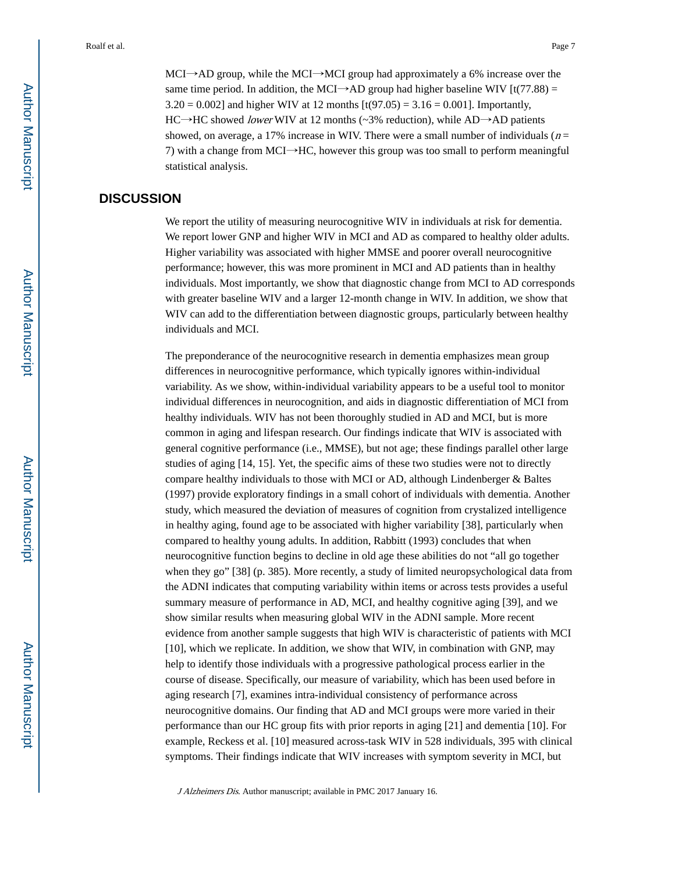$MCI \rightarrow AD$  group, while the MCI $\rightarrow$ MCI group had approximately a 6% increase over the same time period. In addition, the MCI→AD group had higher baseline WIV [t(77.88) =  $3.20 = 0.002$ ] and higher WIV at 12 months  $\left[\frac{t(97.05)}{2}\right] = 3.16 = 0.001$ ]. Importantly, HC→HC showed lower WIV at 12 months (~3% reduction), while AD→AD patients showed, on average, a 17% increase in WIV. There were a small number of individuals  $(n =$ 7) with a change from MCI→HC, however this group was too small to perform meaningful statistical analysis.

## **DISCUSSION**

We report the utility of measuring neurocognitive WIV in individuals at risk for dementia. We report lower GNP and higher WIV in MCI and AD as compared to healthy older adults. Higher variability was associated with higher MMSE and poorer overall neurocognitive performance; however, this was more prominent in MCI and AD patients than in healthy individuals. Most importantly, we show that diagnostic change from MCI to AD corresponds with greater baseline WIV and a larger 12-month change in WIV. In addition, we show that WIV can add to the differentiation between diagnostic groups, particularly between healthy individuals and MCI.

The preponderance of the neurocognitive research in dementia emphasizes mean group differences in neurocognitive performance, which typically ignores within-individual variability. As we show, within-individual variability appears to be a useful tool to monitor individual differences in neurocognition, and aids in diagnostic differentiation of MCI from healthy individuals. WIV has not been thoroughly studied in AD and MCI, but is more common in aging and lifespan research. Our findings indicate that WIV is associated with general cognitive performance (i.e., MMSE), but not age; these findings parallel other large studies of aging [14, 15]. Yet, the specific aims of these two studies were not to directly compare healthy individuals to those with MCI or AD, although Lindenberger & Baltes (1997) provide exploratory findings in a small cohort of individuals with dementia. Another study, which measured the deviation of measures of cognition from crystalized intelligence in healthy aging, found age to be associated with higher variability [38], particularly when compared to healthy young adults. In addition, Rabbitt (1993) concludes that when neurocognitive function begins to decline in old age these abilities do not "all go together when they go" [38] (p. 385). More recently, a study of limited neuropsychological data from the ADNI indicates that computing variability within items or across tests provides a useful summary measure of performance in AD, MCI, and healthy cognitive aging [39], and we show similar results when measuring global WIV in the ADNI sample. More recent evidence from another sample suggests that high WIV is characteristic of patients with MCI [10], which we replicate. In addition, we show that WIV, in combination with GNP, may help to identify those individuals with a progressive pathological process earlier in the course of disease. Specifically, our measure of variability, which has been used before in aging research [7], examines intra-individual consistency of performance across neurocognitive domains. Our finding that AD and MCI groups were more varied in their performance than our HC group fits with prior reports in aging [21] and dementia [10]. For example, Reckess et al. [10] measured across-task WIV in 528 individuals, 395 with clinical symptoms. Their findings indicate that WIV increases with symptom severity in MCI, but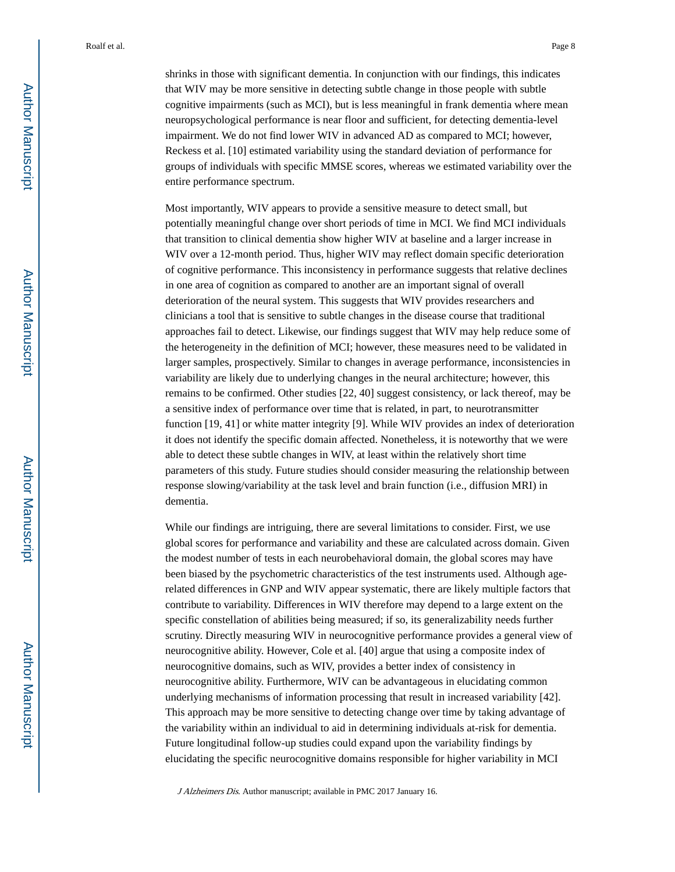shrinks in those with significant dementia. In conjunction with our findings, this indicates that WIV may be more sensitive in detecting subtle change in those people with subtle cognitive impairments (such as MCI), but is less meaningful in frank dementia where mean neuropsychological performance is near floor and sufficient, for detecting dementia-level impairment. We do not find lower WIV in advanced AD as compared to MCI; however, Reckess et al. [10] estimated variability using the standard deviation of performance for groups of individuals with specific MMSE scores, whereas we estimated variability over the entire performance spectrum.

Most importantly, WIV appears to provide a sensitive measure to detect small, but potentially meaningful change over short periods of time in MCI. We find MCI individuals that transition to clinical dementia show higher WIV at baseline and a larger increase in WIV over a 12-month period. Thus, higher WIV may reflect domain specific deterioration of cognitive performance. This inconsistency in performance suggests that relative declines in one area of cognition as compared to another are an important signal of overall deterioration of the neural system. This suggests that WIV provides researchers and clinicians a tool that is sensitive to subtle changes in the disease course that traditional approaches fail to detect. Likewise, our findings suggest that WIV may help reduce some of the heterogeneity in the definition of MCI; however, these measures need to be validated in larger samples, prospectively. Similar to changes in average performance, inconsistencies in variability are likely due to underlying changes in the neural architecture; however, this remains to be confirmed. Other studies [22, 40] suggest consistency, or lack thereof, may be a sensitive index of performance over time that is related, in part, to neurotransmitter function [19, 41] or white matter integrity [9]. While WIV provides an index of deterioration it does not identify the specific domain affected. Nonetheless, it is noteworthy that we were able to detect these subtle changes in WIV, at least within the relatively short time parameters of this study. Future studies should consider measuring the relationship between response slowing/variability at the task level and brain function (i.e., diffusion MRI) in dementia.

While our findings are intriguing, there are several limitations to consider. First, we use global scores for performance and variability and these are calculated across domain. Given the modest number of tests in each neurobehavioral domain, the global scores may have been biased by the psychometric characteristics of the test instruments used. Although agerelated differences in GNP and WIV appear systematic, there are likely multiple factors that contribute to variability. Differences in WIV therefore may depend to a large extent on the specific constellation of abilities being measured; if so, its generalizability needs further scrutiny. Directly measuring WIV in neurocognitive performance provides a general view of neurocognitive ability. However, Cole et al. [40] argue that using a composite index of neurocognitive domains, such as WIV, provides a better index of consistency in neurocognitive ability. Furthermore, WIV can be advantageous in elucidating common underlying mechanisms of information processing that result in increased variability [42]. This approach may be more sensitive to detecting change over time by taking advantage of the variability within an individual to aid in determining individuals at-risk for dementia. Future longitudinal follow-up studies could expand upon the variability findings by elucidating the specific neurocognitive domains responsible for higher variability in MCI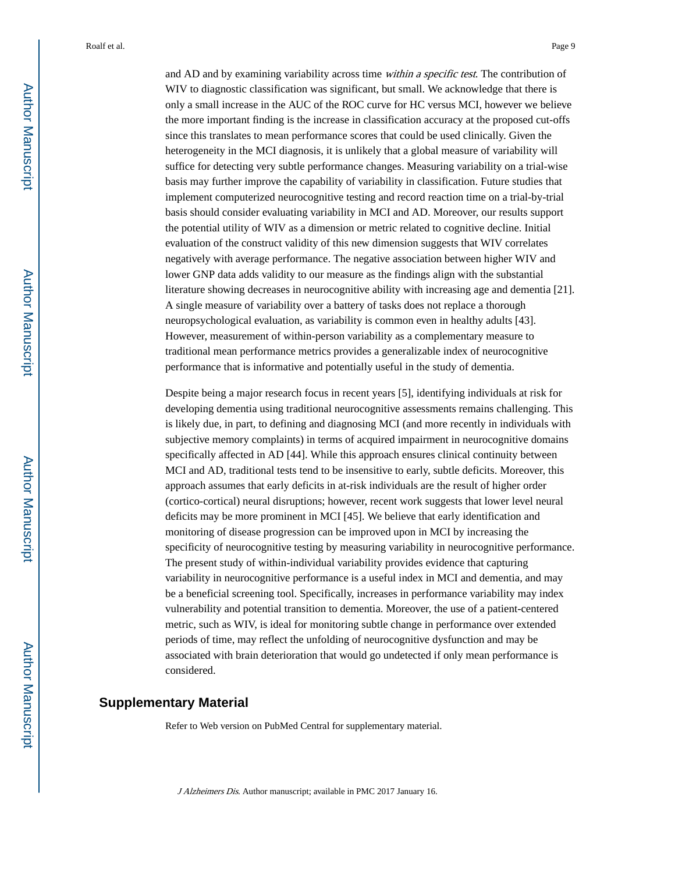and AD and by examining variability across time *within a specific test*. The contribution of WIV to diagnostic classification was significant, but small. We acknowledge that there is only a small increase in the AUC of the ROC curve for HC versus MCI, however we believe the more important finding is the increase in classification accuracy at the proposed cut-offs since this translates to mean performance scores that could be used clinically. Given the heterogeneity in the MCI diagnosis, it is unlikely that a global measure of variability will suffice for detecting very subtle performance changes. Measuring variability on a trial-wise basis may further improve the capability of variability in classification. Future studies that implement computerized neurocognitive testing and record reaction time on a trial-by-trial basis should consider evaluating variability in MCI and AD. Moreover, our results support the potential utility of WIV as a dimension or metric related to cognitive decline. Initial evaluation of the construct validity of this new dimension suggests that WIV correlates negatively with average performance. The negative association between higher WIV and lower GNP data adds validity to our measure as the findings align with the substantial literature showing decreases in neurocognitive ability with increasing age and dementia [21]. A single measure of variability over a battery of tasks does not replace a thorough neuropsychological evaluation, as variability is common even in healthy adults [43]. However, measurement of within-person variability as a complementary measure to traditional mean performance metrics provides a generalizable index of neurocognitive performance that is informative and potentially useful in the study of dementia.

Despite being a major research focus in recent years [5], identifying individuals at risk for developing dementia using traditional neurocognitive assessments remains challenging. This is likely due, in part, to defining and diagnosing MCI (and more recently in individuals with subjective memory complaints) in terms of acquired impairment in neurocognitive domains specifically affected in AD [44]. While this approach ensures clinical continuity between MCI and AD, traditional tests tend to be insensitive to early, subtle deficits. Moreover, this approach assumes that early deficits in at-risk individuals are the result of higher order (cortico-cortical) neural disruptions; however, recent work suggests that lower level neural deficits may be more prominent in MCI [45]. We believe that early identification and monitoring of disease progression can be improved upon in MCI by increasing the specificity of neurocognitive testing by measuring variability in neurocognitive performance. The present study of within-individual variability provides evidence that capturing variability in neurocognitive performance is a useful index in MCI and dementia, and may be a beneficial screening tool. Specifically, increases in performance variability may index vulnerability and potential transition to dementia. Moreover, the use of a patient-centered metric, such as WIV, is ideal for monitoring subtle change in performance over extended periods of time, may reflect the unfolding of neurocognitive dysfunction and may be associated with brain deterioration that would go undetected if only mean performance is considered.

## **Supplementary Material**

Refer to Web version on PubMed Central for supplementary material.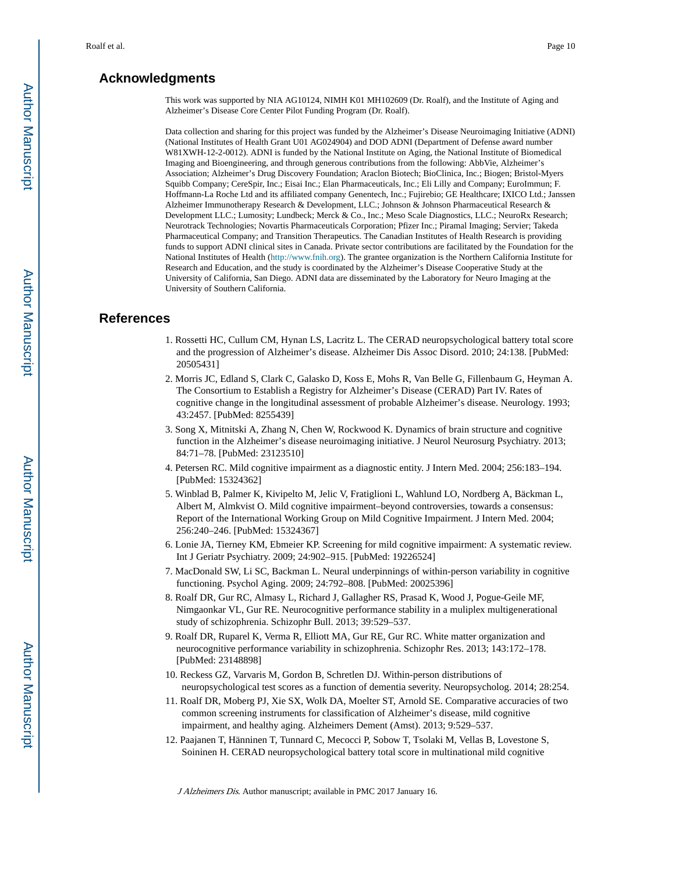## **Acknowledgments**

This work was supported by NIA AG10124, NIMH K01 MH102609 (Dr. Roalf), and the Institute of Aging and Alzheimer's Disease Core Center Pilot Funding Program (Dr. Roalf).

Data collection and sharing for this project was funded by the Alzheimer's Disease Neuroimaging Initiative (ADNI) (National Institutes of Health Grant U01 AG024904) and DOD ADNI (Department of Defense award number W81XWH-12-2-0012). ADNI is funded by the National Institute on Aging, the National Institute of Biomedical Imaging and Bioengineering, and through generous contributions from the following: AbbVie, Alzheimer's Association; Alzheimer's Drug Discovery Foundation; Araclon Biotech; BioClinica, Inc.; Biogen; Bristol-Myers Squibb Company; CereSpir, Inc.; Eisai Inc.; Elan Pharmaceuticals, Inc.; Eli Lilly and Company; EuroImmun; F. Hoffmann-La Roche Ltd and its affiliated company Genentech, Inc.; Fujirebio; GE Healthcare; IXICO Ltd.; Janssen Alzheimer Immunotherapy Research & Development, LLC.; Johnson & Johnson Pharmaceutical Research & Development LLC.; Lumosity; Lundbeck; Merck & Co., Inc.; Meso Scale Diagnostics, LLC.; NeuroRx Research; Neurotrack Technologies; Novartis Pharmaceuticals Corporation; Pfizer Inc.; Piramal Imaging; Servier; Takeda Pharmaceutical Company; and Transition Therapeutics. The Canadian Institutes of Health Research is providing funds to support ADNI clinical sites in Canada. Private sector contributions are facilitated by the Foundation for the National Institutes of Health ([http://www.fnih.org\)](http://www.fnih.org). The grantee organization is the Northern California Institute for Research and Education, and the study is coordinated by the Alzheimer's Disease Cooperative Study at the University of California, San Diego. ADNI data are disseminated by the Laboratory for Neuro Imaging at the University of Southern California.

## **References**

- 1. Rossetti HC, Cullum CM, Hynan LS, Lacritz L. The CERAD neuropsychological battery total score and the progression of Alzheimer's disease. Alzheimer Dis Assoc Disord. 2010; 24:138. [PubMed: 20505431]
- 2. Morris JC, Edland S, Clark C, Galasko D, Koss E, Mohs R, Van Belle G, Fillenbaum G, Heyman A. The Consortium to Establish a Registry for Alzheimer's Disease (CERAD) Part IV. Rates of cognitive change in the longitudinal assessment of probable Alzheimer's disease. Neurology. 1993; 43:2457. [PubMed: 8255439]
- 3. Song X, Mitnitski A, Zhang N, Chen W, Rockwood K. Dynamics of brain structure and cognitive function in the Alzheimer's disease neuroimaging initiative. J Neurol Neurosurg Psychiatry. 2013; 84:71–78. [PubMed: 23123510]
- 4. Petersen RC. Mild cognitive impairment as a diagnostic entity. J Intern Med. 2004; 256:183–194. [PubMed: 15324362]
- 5. Winblad B, Palmer K, Kivipelto M, Jelic V, Fratiglioni L, Wahlund LO, Nordberg A, Bäckman L, Albert M, Almkvist O. Mild cognitive impairment–beyond controversies, towards a consensus: Report of the International Working Group on Mild Cognitive Impairment. J Intern Med. 2004; 256:240–246. [PubMed: 15324367]
- 6. Lonie JA, Tierney KM, Ebmeier KP. Screening for mild cognitive impairment: A systematic review. Int J Geriatr Psychiatry. 2009; 24:902–915. [PubMed: 19226524]
- 7. MacDonald SW, Li SC, Backman L. Neural underpinnings of within-person variability in cognitive functioning. Psychol Aging. 2009; 24:792–808. [PubMed: 20025396]
- 8. Roalf DR, Gur RC, Almasy L, Richard J, Gallagher RS, Prasad K, Wood J, Pogue-Geile MF, Nimgaonkar VL, Gur RE. Neurocognitive performance stability in a muliplex multigenerational study of schizophrenia. Schizophr Bull. 2013; 39:529–537.
- 9. Roalf DR, Ruparel K, Verma R, Elliott MA, Gur RE, Gur RC. White matter organization and neurocognitive performance variability in schizophrenia. Schizophr Res. 2013; 143:172–178. [PubMed: 23148898]
- 10. Reckess GZ, Varvaris M, Gordon B, Schretlen DJ. Within-person distributions of neuropsychological test scores as a function of dementia severity. Neuropsycholog. 2014; 28:254.
- 11. Roalf DR, Moberg PJ, Xie SX, Wolk DA, Moelter ST, Arnold SE. Comparative accuracies of two common screening instruments for classification of Alzheimer's disease, mild cognitive impairment, and healthy aging. Alzheimers Dement (Amst). 2013; 9:529–537.
- 12. Paajanen T, Hänninen T, Tunnard C, Mecocci P, Sobow T, Tsolaki M, Vellas B, Lovestone S, Soininen H. CERAD neuropsychological battery total score in multinational mild cognitive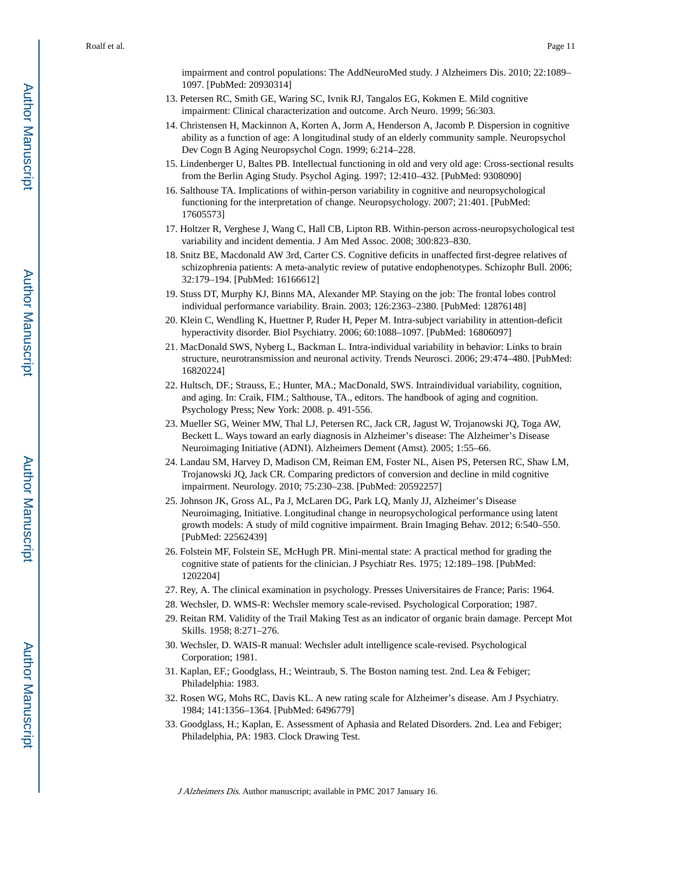impairment and control populations: The AddNeuroMed study. J Alzheimers Dis. 2010; 22:1089– 1097. [PubMed: 20930314]

- 13. Petersen RC, Smith GE, Waring SC, Ivnik RJ, Tangalos EG, Kokmen E. Mild cognitive impairment: Clinical characterization and outcome. Arch Neuro. 1999; 56:303.
- 14. Christensen H, Mackinnon A, Korten A, Jorm A, Henderson A, Jacomb P. Dispersion in cognitive ability as a function of age: A longitudinal study of an elderly community sample. Neuropsychol Dev Cogn B Aging Neuropsychol Cogn. 1999; 6:214–228.
- 15. Lindenberger U, Baltes PB. Intellectual functioning in old and very old age: Cross-sectional results from the Berlin Aging Study. Psychol Aging. 1997; 12:410–432. [PubMed: 9308090]
- 16. Salthouse TA. Implications of within-person variability in cognitive and neuropsychological functioning for the interpretation of change. Neuropsychology. 2007; 21:401. [PubMed: 17605573]
- 17. Holtzer R, Verghese J, Wang C, Hall CB, Lipton RB. Within-person across-neuropsychological test variability and incident dementia. J Am Med Assoc. 2008; 300:823–830.
- 18. Snitz BE, Macdonald AW 3rd, Carter CS. Cognitive deficits in unaffected first-degree relatives of schizophrenia patients: A meta-analytic review of putative endophenotypes. Schizophr Bull. 2006; 32:179–194. [PubMed: 16166612]
- 19. Stuss DT, Murphy KJ, Binns MA, Alexander MP. Staying on the job: The frontal lobes control individual performance variability. Brain. 2003; 126:2363–2380. [PubMed: 12876148]
- 20. Klein C, Wendling K, Huettner P, Ruder H, Peper M. Intra-subject variability in attention-deficit hyperactivity disorder. Biol Psychiatry. 2006; 60:1088–1097. [PubMed: 16806097]
- 21. MacDonald SWS, Nyberg L, Backman L. Intra-individual variability in behavior: Links to brain structure, neurotransmission and neuronal activity. Trends Neurosci. 2006; 29:474–480. [PubMed: 16820224]
- 22. Hultsch, DF.; Strauss, E.; Hunter, MA.; MacDonald, SWS. Intraindividual variability, cognition, and aging. In: Craik, FIM.; Salthouse, TA., editors. The handbook of aging and cognition. Psychology Press; New York: 2008. p. 491-556.
- 23. Mueller SG, Weiner MW, Thal LJ, Petersen RC, Jack CR, Jagust W, Trojanowski JQ, Toga AW, Beckett L. Ways toward an early diagnosis in Alzheimer's disease: The Alzheimer's Disease Neuroimaging Initiative (ADNI). Alzheimers Dement (Amst). 2005; 1:55–66.
- 24. Landau SM, Harvey D, Madison CM, Reiman EM, Foster NL, Aisen PS, Petersen RC, Shaw LM, Trojanowski JQ, Jack CR. Comparing predictors of conversion and decline in mild cognitive impairment. Neurology. 2010; 75:230–238. [PubMed: 20592257]
- 25. Johnson JK, Gross AL, Pa J, McLaren DG, Park LQ, Manly JJ, Alzheimer's Disease Neuroimaging, Initiative. Longitudinal change in neuropsychological performance using latent growth models: A study of mild cognitive impairment. Brain Imaging Behav. 2012; 6:540–550. [PubMed: 22562439]
- 26. Folstein MF, Folstein SE, McHugh PR. Mini-mental state: A practical method for grading the cognitive state of patients for the clinician. J Psychiatr Res. 1975; 12:189–198. [PubMed: 1202204]
- 27. Rey, A. The clinical examination in psychology. Presses Universitaires de France; Paris: 1964.
- 28. Wechsler, D. WMS-R: Wechsler memory scale-revised. Psychological Corporation; 1987.
- 29. Reitan RM. Validity of the Trail Making Test as an indicator of organic brain damage. Percept Mot Skills. 1958; 8:271–276.
- 30. Wechsler, D. WAIS-R manual: Wechsler adult intelligence scale-revised. Psychological Corporation; 1981.
- 31. Kaplan, EF.; Goodglass, H.; Weintraub, S. The Boston naming test. 2nd. Lea & Febiger; Philadelphia: 1983.
- 32. Rosen WG, Mohs RC, Davis KL. A new rating scale for Alzheimer's disease. Am J Psychiatry. 1984; 141:1356–1364. [PubMed: 6496779]
- 33. Goodglass, H.; Kaplan, E. Assessment of Aphasia and Related Disorders. 2nd. Lea and Febiger; Philadelphia, PA: 1983. Clock Drawing Test.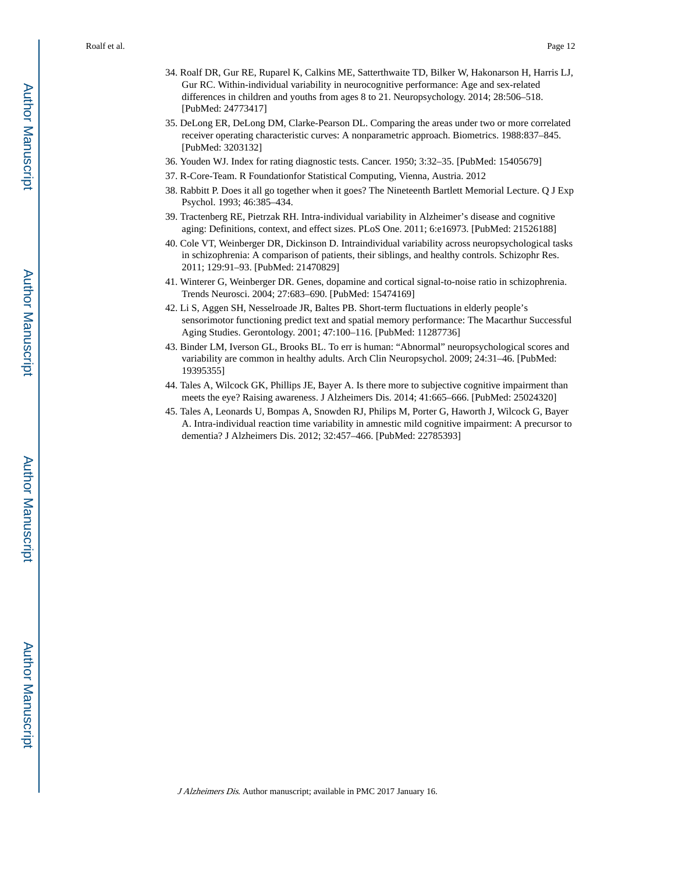- 34. Roalf DR, Gur RE, Ruparel K, Calkins ME, Satterthwaite TD, Bilker W, Hakonarson H, Harris LJ, Gur RC. Within-individual variability in neurocognitive performance: Age and sex-related differences in children and youths from ages 8 to 21. Neuropsychology. 2014; 28:506–518. [PubMed: 24773417]
- 35. DeLong ER, DeLong DM, Clarke-Pearson DL. Comparing the areas under two or more correlated receiver operating characteristic curves: A nonparametric approach. Biometrics. 1988:837–845. [PubMed: 3203132]
- 36. Youden WJ. Index for rating diagnostic tests. Cancer. 1950; 3:32–35. [PubMed: 15405679]
- 37. R-Core-Team. R Foundationfor Statistical Computing, Vienna, Austria. 2012
- 38. Rabbitt P. Does it all go together when it goes? The Nineteenth Bartlett Memorial Lecture. Q J Exp Psychol. 1993; 46:385–434.
- 39. Tractenberg RE, Pietrzak RH. Intra-individual variability in Alzheimer's disease and cognitive aging: Definitions, context, and effect sizes. PLoS One. 2011; 6:e16973. [PubMed: 21526188]
- 40. Cole VT, Weinberger DR, Dickinson D. Intraindividual variability across neuropsychological tasks in schizophrenia: A comparison of patients, their siblings, and healthy controls. Schizophr Res. 2011; 129:91–93. [PubMed: 21470829]
- 41. Winterer G, Weinberger DR. Genes, dopamine and cortical signal-to-noise ratio in schizophrenia. Trends Neurosci. 2004; 27:683–690. [PubMed: 15474169]
- 42. Li S, Aggen SH, Nesselroade JR, Baltes PB. Short-term fluctuations in elderly people's sensorimotor functioning predict text and spatial memory performance: The Macarthur Successful Aging Studies. Gerontology. 2001; 47:100–116. [PubMed: 11287736]
- 43. Binder LM, Iverson GL, Brooks BL. To err is human: "Abnormal" neuropsychological scores and variability are common in healthy adults. Arch Clin Neuropsychol. 2009; 24:31–46. [PubMed: 19395355]
- 44. Tales A, Wilcock GK, Phillips JE, Bayer A. Is there more to subjective cognitive impairment than meets the eye? Raising awareness. J Alzheimers Dis. 2014; 41:665–666. [PubMed: 25024320]
- 45. Tales A, Leonards U, Bompas A, Snowden RJ, Philips M, Porter G, Haworth J, Wilcock G, Bayer A. Intra-individual reaction time variability in amnestic mild cognitive impairment: A precursor to dementia? J Alzheimers Dis. 2012; 32:457–466. [PubMed: 22785393]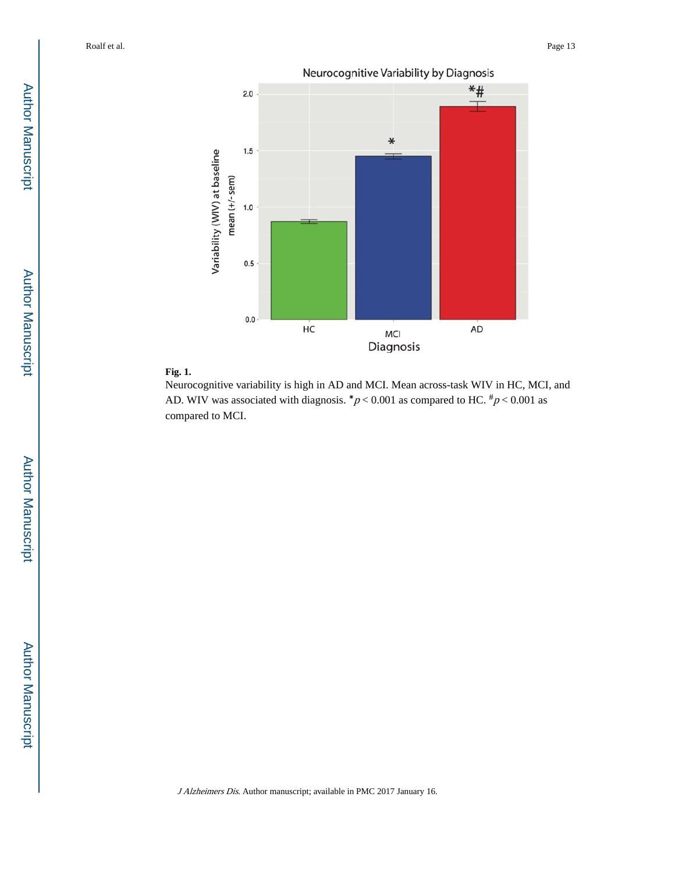

## **Fig. 1.**

Neurocognitive variability is high in AD and MCI. Mean across-task WIV in HC, MCI, and AD. WIV was associated with diagnosis.  $p < 0.001$  as compared to HC.  $\frac{p}{q} < 0.001$  as compared to MCI.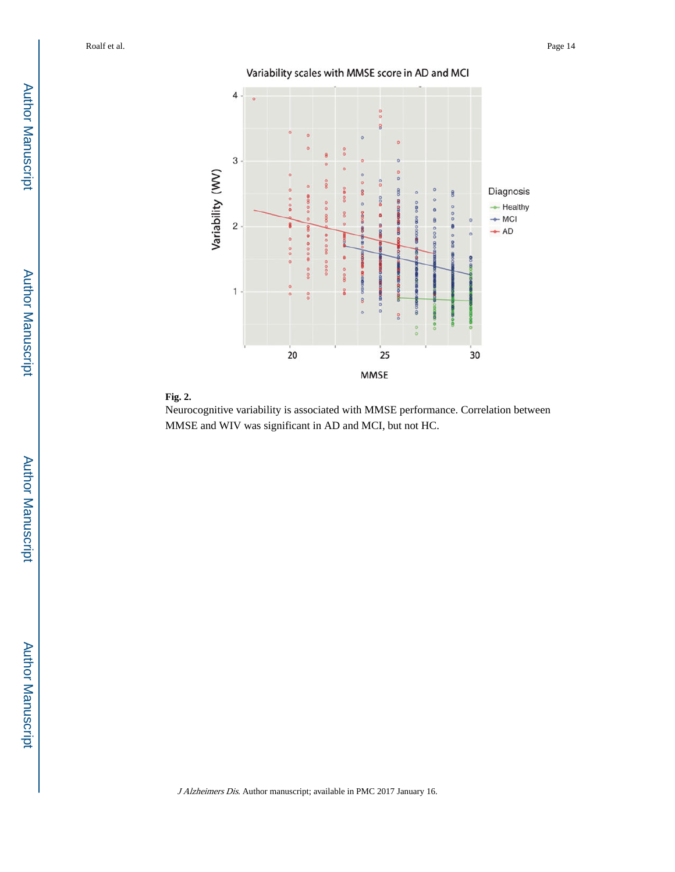





Neurocognitive variability is associated with MMSE performance. Correlation between MMSE and WIV was significant in AD and MCI, but not HC.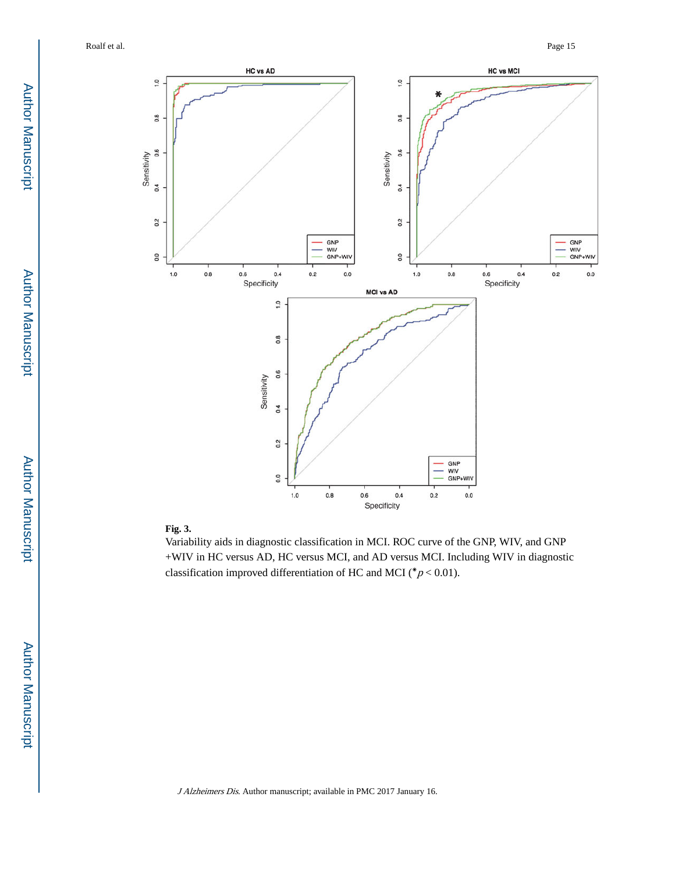



Variability aids in diagnostic classification in MCI. ROC curve of the GNP, WIV, and GNP +WIV in HC versus AD, HC versus MCI, and AD versus MCI. Including WIV in diagnostic classification improved differentiation of HC and MCI ( $p < 0.01$ ).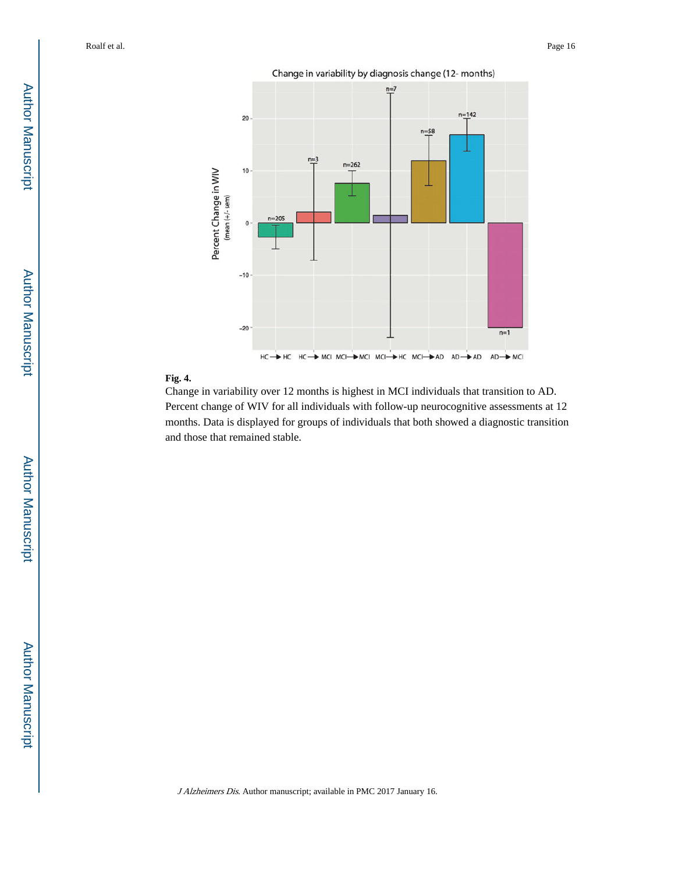

#### **Fig. 4.**

Change in variability over 12 months is highest in MCI individuals that transition to AD. Percent change of WIV for all individuals with follow-up neurocognitive assessments at 12 months. Data is displayed for groups of individuals that both showed a diagnostic transition and those that remained stable.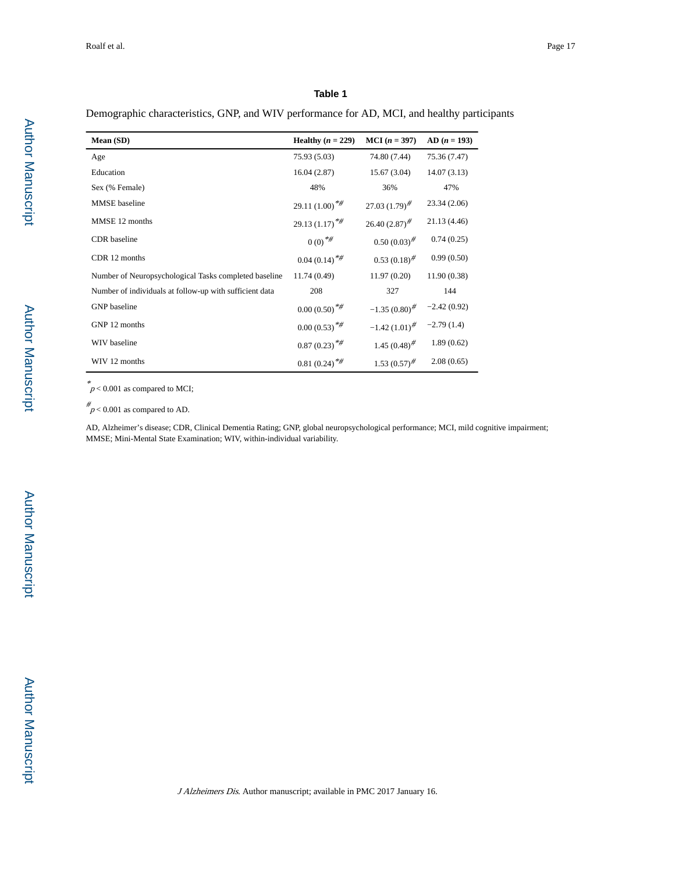#### **Table 1**

Demographic characteristics, GNP, and WIV performance for AD, MCI, and healthy participants

| Mean (SD)                                               | Healthy $(n = 229)$          | <b>MCI</b> $(n = 397)$     | $AD (n = 193)$ |
|---------------------------------------------------------|------------------------------|----------------------------|----------------|
| Age                                                     | 75.93 (5.03)                 | 74.80 (7.44)               | 75.36 (7.47)   |
| Education                                               | 16.04(2.87)                  | 15.67(3.04)                | 14.07(3.13)    |
| Sex (% Female)                                          | 48%                          | 36%                        | 47%            |
| <b>MMSE</b> baseline                                    | 29.11 $(1.00)$ <sup>*#</sup> | $27.03(1.79)^{\#}$         | 23.34 (2.06)   |
| MMSE 12 months                                          | 29.13 $(1.17)$ <sup>*#</sup> | $26.40(2.87)$ <sup>#</sup> | 21.13 (4.46)   |
| CDR baseline                                            | $0(0)$ <sup>*#</sup>         | $0.50(0.03)^{\#}$          | 0.74(0.25)     |
| CDR 12 months                                           | $0.04(0.14)$ <sup>*#</sup>   | $0.53(0.18)^{\#}$          | 0.99(0.50)     |
| Number of Neuropsychological Tasks completed baseline   | 11.74 (0.49)                 | 11.97(0.20)                | 11.90(0.38)    |
| Number of individuals at follow-up with sufficient data | 208                          | 327                        | 144            |
| GNP baseline                                            | $0.00(0.50)$ <sup>*#</sup>   | $-1.35(0.80)$ <sup>#</sup> | $-2.42(0.92)$  |
| GNP 12 months                                           | $0.00(0.53)$ <sup>*#</sup>   | $-1.42(1.01)^{#}$          | $-2.79(1.4)$   |
| WIV baseline                                            | $0.87(0.23)$ <sup>*#</sup>   | $1.45(0.48)$ <sup>#</sup>  | 1.89(0.62)     |
| WIV <sub>12</sub> months                                | $0.81(0.24)$ <sup>*#</sup>   | $1.53(0.57)^{\#}$          | 2.08(0.65)     |

 $p < 0.001$  as compared to MCI;

 $\frac{\text{#}}{\text{p}}$  < 0.001 as compared to AD.

AD, Alzheimer's disease; CDR, Clinical Dementia Rating; GNP, global neuropsychological performance; MCI, mild cognitive impairment; MMSE; Mini-Mental State Examination; WIV, within-individual variability.